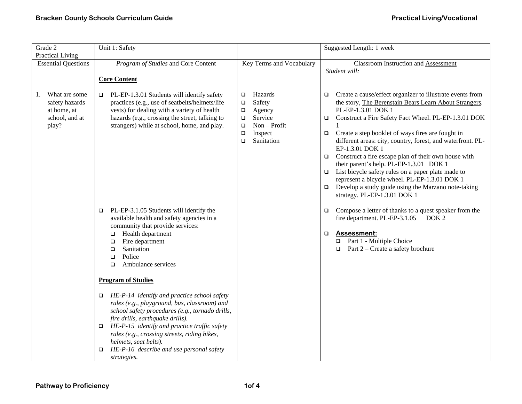| Grade 2<br><b>Practical Living</b>                                              | Unit 1: Safety                                                                                                                                                                                                                                                                                                                                                                            |                                                                                                                                                       | Suggested Length: 1 week                                                                                                                                                                                                                                                                                                                                                                                                                                                                                                                                                                                                                                                                              |
|---------------------------------------------------------------------------------|-------------------------------------------------------------------------------------------------------------------------------------------------------------------------------------------------------------------------------------------------------------------------------------------------------------------------------------------------------------------------------------------|-------------------------------------------------------------------------------------------------------------------------------------------------------|-------------------------------------------------------------------------------------------------------------------------------------------------------------------------------------------------------------------------------------------------------------------------------------------------------------------------------------------------------------------------------------------------------------------------------------------------------------------------------------------------------------------------------------------------------------------------------------------------------------------------------------------------------------------------------------------------------|
| <b>Essential Questions</b>                                                      | Program of Studies and Core Content                                                                                                                                                                                                                                                                                                                                                       | Key Terms and Vocabulary                                                                                                                              | <b>Classroom Instruction and Assessment</b><br>Student will:                                                                                                                                                                                                                                                                                                                                                                                                                                                                                                                                                                                                                                          |
|                                                                                 | <b>Core Content</b>                                                                                                                                                                                                                                                                                                                                                                       |                                                                                                                                                       |                                                                                                                                                                                                                                                                                                                                                                                                                                                                                                                                                                                                                                                                                                       |
| What are some<br>1.<br>safety hazards<br>at home, at<br>school, and at<br>play? | PL-EP-1.3.01 Students will identify safety<br>$\Box$<br>practices (e.g., use of seatbelts/helmets/life<br>vests) for dealing with a variety of health<br>hazards (e.g., crossing the street, talking to<br>strangers) while at school, home, and play.                                                                                                                                    | Hazards<br>$\Box$<br>Safety<br>$\Box$<br>Agency<br>$\Box$<br>Service<br>$\Box$<br>Non - Profit<br>$\Box$<br>Inspect<br>$\Box$<br>Sanitation<br>$\Box$ | Create a cause/effect organizer to illustrate events from<br>$\Box$<br>the story, The Berenstain Bears Learn About Strangers.<br>PL-EP-1.3.01 DOK 1<br>Construct a Fire Safety Fact Wheel. PL-EP-1.3.01 DOK<br>$\Box$<br>Create a step booklet of ways fires are fought in<br>$\Box$<br>different areas: city, country, forest, and waterfront. PL-<br>EP-1.3.01 DOK 1<br>Construct a fire escape plan of their own house with<br>$\Box$<br>their parent's help. PL-EP-1.3.01 DOK 1<br>List bicycle safety rules on a paper plate made to<br>$\Box$<br>represent a bicycle wheel. PL-EP-1.3.01 DOK 1<br>Develop a study guide using the Marzano note-taking<br>$\Box$<br>strategy. PL-EP-1.3.01 DOK 1 |
|                                                                                 | PL-EP-3.1.05 Students will identify the<br>$\Box$<br>available health and safety agencies in a<br>community that provide services:<br>Health department<br>$\Box$<br>Fire department<br>$\Box$<br>Sanitation<br>$\Box$<br>Police<br>$\Box$<br>Ambulance services<br>$\Box$                                                                                                                |                                                                                                                                                       | Compose a letter of thanks to a quest speaker from the<br>$\Box$<br>fire department. PL-EP-3.1.05<br>DOK <sub>2</sub><br><b>Assessment:</b><br>$\Box$<br>□ Part 1 - Multiple Choice<br>Part 2 – Create a safety brochure<br>$\Box$                                                                                                                                                                                                                                                                                                                                                                                                                                                                    |
|                                                                                 | <b>Program of Studies</b>                                                                                                                                                                                                                                                                                                                                                                 |                                                                                                                                                       |                                                                                                                                                                                                                                                                                                                                                                                                                                                                                                                                                                                                                                                                                                       |
|                                                                                 | $\Box$ HE-P-14 identify and practice school safety<br>rules (e.g., playground, bus, classroom) and<br>school safety procedures (e.g., tornado drills,<br>fire drills, earthquake drills).<br>$\Box$ HE-P-15 identify and practice traffic safety<br>rules (e.g., crossing streets, riding bikes,<br>helmets, seat belts).<br>HE-P-16 describe and use personal safety<br>□<br>strategies. |                                                                                                                                                       |                                                                                                                                                                                                                                                                                                                                                                                                                                                                                                                                                                                                                                                                                                       |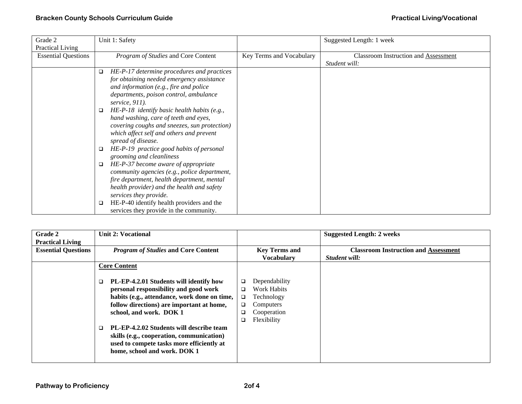| Grade 2                    | Unit 1: Safety                                       |                          | Suggested Length: 1 week             |
|----------------------------|------------------------------------------------------|--------------------------|--------------------------------------|
| <b>Practical Living</b>    |                                                      |                          |                                      |
| <b>Essential Questions</b> | Program of Studies and Core Content                  | Key Terms and Vocabulary | Classroom Instruction and Assessment |
|                            |                                                      |                          | Student will:                        |
|                            | HE-P-17 determine procedures and practices<br>$\Box$ |                          |                                      |
|                            | for obtaining needed emergency assistance            |                          |                                      |
|                            | and information (e.g., fire and police               |                          |                                      |
|                            | departments, poison control, ambulance               |                          |                                      |
|                            | service, $911$ ).                                    |                          |                                      |
|                            | HE-P-18 identify basic health habits (e.g.,<br>□     |                          |                                      |
|                            | hand washing, care of teeth and eyes,                |                          |                                      |
|                            | covering coughs and sneezes, sun protection)         |                          |                                      |
|                            | which affect self and others and prevent             |                          |                                      |
|                            | spread of disease.                                   |                          |                                      |
|                            | HE-P-19 practice good habits of personal<br>□        |                          |                                      |
|                            | grooming and cleanliness                             |                          |                                      |
|                            | HE-P-37 become aware of appropriate<br>□             |                          |                                      |
|                            | community agencies (e.g., police department,         |                          |                                      |
|                            | fire department, health department, mental           |                          |                                      |
|                            | health provider) and the health and safety           |                          |                                      |
|                            | services they provide.                               |                          |                                      |
|                            | HE-P-40 identify health providers and the<br>□       |                          |                                      |
|                            | services they provide in the community.              |                          |                                      |

| Grade 2                    | <b>Unit 2: Vocational</b>                          |                         | <b>Suggested Length: 2 weeks</b>            |
|----------------------------|----------------------------------------------------|-------------------------|---------------------------------------------|
| <b>Practical Living</b>    |                                                    |                         |                                             |
| <b>Essential Questions</b> | <b>Program of Studies and Core Content</b>         | <b>Key Terms and</b>    | <b>Classroom Instruction and Assessment</b> |
|                            |                                                    | <b>Vocabulary</b>       | Student will:                               |
|                            | <b>Core Content</b>                                |                         |                                             |
|                            |                                                    |                         |                                             |
|                            | PL-EP-4.2.01 Students will identify how<br>$\Box$  | Dependability<br>$\Box$ |                                             |
|                            | personal responsibility and good work              | Work Habits<br>$\Box$   |                                             |
|                            | habits (e.g., attendance, work done on time,       | Technology<br>$\Box$    |                                             |
|                            | follow directions) are important at home,          | Computers<br>$\Box$     |                                             |
|                            | school, and work. DOK 1                            | Cooperation<br>□        |                                             |
|                            |                                                    | Flexibility<br>$\Box$   |                                             |
|                            | PL-EP-4.2.02 Students will describe team<br>$\Box$ |                         |                                             |
|                            | skills (e.g., cooperation, communication)          |                         |                                             |
|                            | used to compete tasks more efficiently at          |                         |                                             |
|                            | home, school and work. DOK 1                       |                         |                                             |
|                            |                                                    |                         |                                             |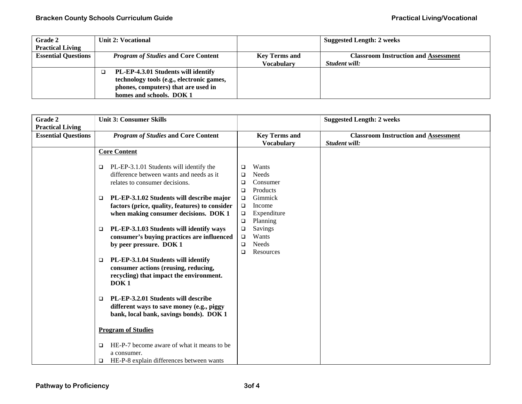| <b>Grade 2</b>             | Unit 2: Vocational                         |                      | <b>Suggested Length: 2 weeks</b>            |
|----------------------------|--------------------------------------------|----------------------|---------------------------------------------|
| <b>Practical Living</b>    |                                            |                      |                                             |
| <b>Essential Questions</b> | <i>Program of Studies</i> and Core Content | <b>Key Terms and</b> | <b>Classroom Instruction and Assessment</b> |
|                            |                                            | <b>Vocabulary</b>    | Student will:                               |
|                            | PL-EP-4.3.01 Students will identify        |                      |                                             |
|                            | technology tools (e.g., electronic games,  |                      |                                             |
|                            | phones, computers) that are used in        |                      |                                             |
|                            | homes and schools. DOK 1                   |                      |                                             |

| Grade 2                                               | <b>Unit 3: Consumer Skills</b>                                                                                                            |                                                                                      | <b>Suggested Length: 2 weeks</b>                             |
|-------------------------------------------------------|-------------------------------------------------------------------------------------------------------------------------------------------|--------------------------------------------------------------------------------------|--------------------------------------------------------------|
| <b>Practical Living</b><br><b>Essential Questions</b> | <b>Program of Studies and Core Content</b>                                                                                                | <b>Key Terms and</b><br><b>Vocabulary</b>                                            | <b>Classroom Instruction and Assessment</b><br>Student will: |
|                                                       | <b>Core Content</b>                                                                                                                       |                                                                                      |                                                              |
|                                                       | PL-EP-3.1.01 Students will identify the<br>$\Box$<br>difference between wants and needs as it<br>relates to consumer decisions.           | Wants<br>❏<br><b>Needs</b><br>□<br>Consumer<br>□<br>Products<br>□                    |                                                              |
|                                                       | PL-EP-3.1.02 Students will describe major<br>□<br>factors (price, quality, features) to consider<br>when making consumer decisions. DOK 1 | Gimmick<br>$\Box$<br>Income<br>$\Box$<br>Expenditure<br>$\Box$<br>$\Box$<br>Planning |                                                              |
|                                                       | PL-EP-3.1.03 Students will identify ways<br>$\Box$<br>consumer's buying practices are influenced<br>by peer pressure. DOK 1               | Savings<br>$\Box$<br>Wants<br>$\Box$<br><b>Needs</b><br>❏<br>Resources<br>□          |                                                              |
|                                                       | PL-EP-3.1.04 Students will identify<br>$\Box$<br>consumer actions (reusing, reducing,<br>recycling) that impact the environment.<br>DOK1  |                                                                                      |                                                              |
|                                                       | PL-EP-3.2.01 Students will describe<br>$\Box$<br>different ways to save money (e.g., piggy<br>bank, local bank, savings bonds). DOK 1     |                                                                                      |                                                              |
|                                                       | <b>Program of Studies</b>                                                                                                                 |                                                                                      |                                                              |
|                                                       | HE-P-7 become aware of what it means to be<br>$\Box$<br>a consumer.<br>HE-P-8 explain differences between wants<br>❏                      |                                                                                      |                                                              |